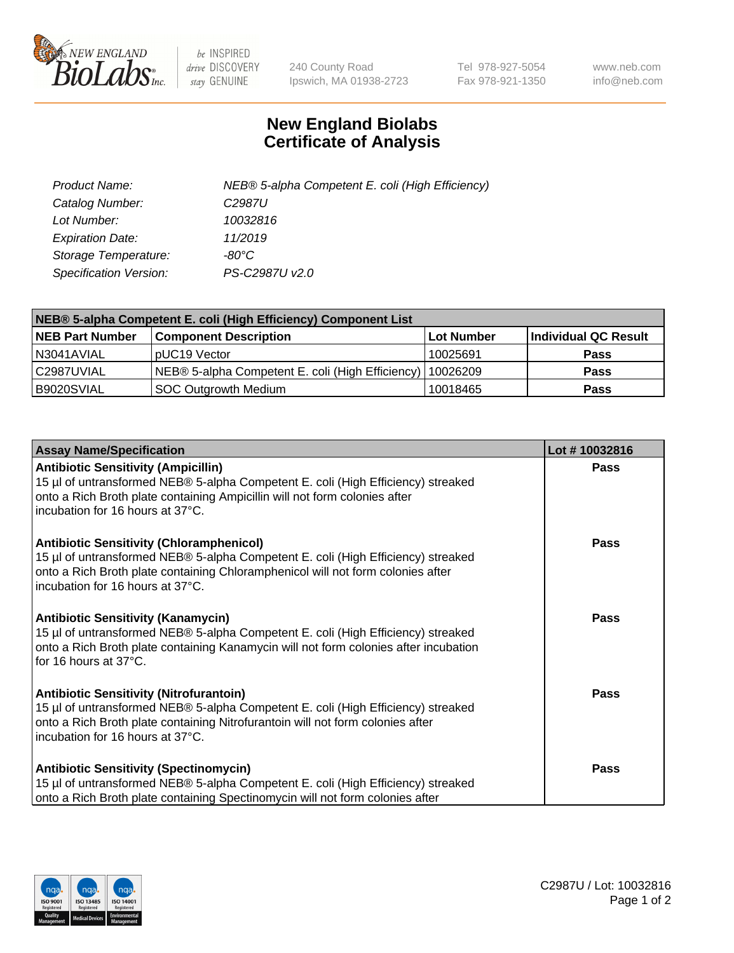

 $be$  INSPIRED drive DISCOVERY stay GENUINE

240 County Road Ipswich, MA 01938-2723 Tel 978-927-5054 Fax 978-921-1350 www.neb.com info@neb.com

## **New England Biolabs Certificate of Analysis**

| Product Name:           | NEB® 5-alpha Competent E. coli (High Efficiency) |
|-------------------------|--------------------------------------------------|
| Catalog Number:         | C <sub>2987</sub> U                              |
| Lot Number:             | 10032816                                         |
| <b>Expiration Date:</b> | 11/2019                                          |
| Storage Temperature:    | -80°C                                            |
| Specification Version:  | PS-C2987U v2.0                                   |

| NEB® 5-alpha Competent E. coli (High Efficiency) Component List |                                                  |            |                      |  |
|-----------------------------------------------------------------|--------------------------------------------------|------------|----------------------|--|
| <b>NEB Part Number</b>                                          | <b>Component Description</b>                     | Lot Number | Individual QC Result |  |
| N3041AVIAL                                                      | pUC19 Vector                                     | 10025691   | <b>Pass</b>          |  |
| C2987UVIAL                                                      | NEB® 5-alpha Competent E. coli (High Efficiency) | 10026209   | <b>Pass</b>          |  |
| B9020SVIAL                                                      | <b>SOC Outgrowth Medium</b>                      | 10018465   | <b>Pass</b>          |  |

| <b>Assay Name/Specification</b>                                                                                                                                                                                                                            | Lot #10032816 |
|------------------------------------------------------------------------------------------------------------------------------------------------------------------------------------------------------------------------------------------------------------|---------------|
| <b>Antibiotic Sensitivity (Ampicillin)</b><br>15 µl of untransformed NEB® 5-alpha Competent E. coli (High Efficiency) streaked<br>onto a Rich Broth plate containing Ampicillin will not form colonies after<br>incubation for 16 hours at 37°C.           | <b>Pass</b>   |
| <b>Antibiotic Sensitivity (Chloramphenicol)</b><br>15 µl of untransformed NEB® 5-alpha Competent E. coli (High Efficiency) streaked<br>onto a Rich Broth plate containing Chloramphenicol will not form colonies after<br>incubation for 16 hours at 37°C. | Pass          |
| Antibiotic Sensitivity (Kanamycin)<br>15 µl of untransformed NEB® 5-alpha Competent E. coli (High Efficiency) streaked<br>onto a Rich Broth plate containing Kanamycin will not form colonies after incubation<br>for 16 hours at 37°C.                    | Pass          |
| <b>Antibiotic Sensitivity (Nitrofurantoin)</b><br>15 µl of untransformed NEB® 5-alpha Competent E. coli (High Efficiency) streaked<br>onto a Rich Broth plate containing Nitrofurantoin will not form colonies after<br>incubation for 16 hours at 37°C.   | <b>Pass</b>   |
| <b>Antibiotic Sensitivity (Spectinomycin)</b><br>15 µl of untransformed NEB® 5-alpha Competent E. coli (High Efficiency) streaked<br>onto a Rich Broth plate containing Spectinomycin will not form colonies after                                         | Pass          |